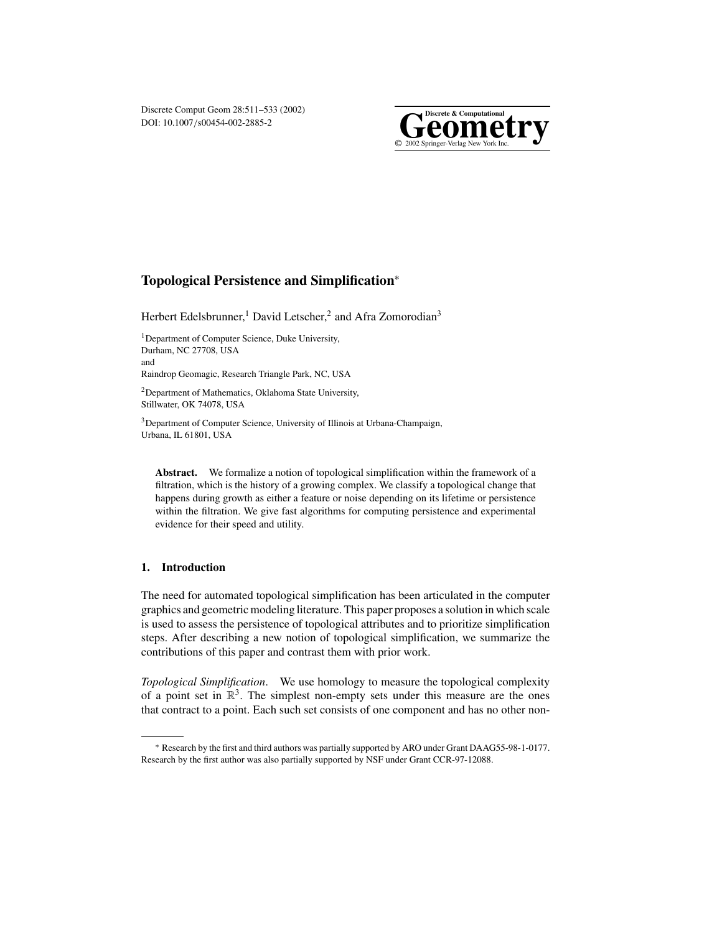DOI: 10.1007/s00454-002-2885-2



# **Topological Persistence and Simplification**<sup>∗</sup>

Herbert Edelsbrunner,<sup>1</sup> David Letscher,<sup>2</sup> and Afra Zomorodian<sup>3</sup>

<sup>1</sup>Department of Computer Science, Duke University, Durham, NC 27708, USA and Raindrop Geomagic, Research Triangle Park, NC, USA

2Department of Mathematics, Oklahoma State University, Stillwater, OK 74078, USA

<sup>3</sup>Department of Computer Science, University of Illinois at Urbana-Champaign, Urbana, IL 61801, USA

**Abstract.** We formalize a notion of topological simplification within the framework of a filtration, which is the history of a growing complex. We classify a topological change that happens during growth as either a feature or noise depending on its lifetime or persistence within the filtration. We give fast algorithms for computing persistence and experimental evidence for their speed and utility.

# **1. Introduction**

The need for automated topological simplification has been articulated in the computer graphics and geometric modeling literature. This paper proposes a solution in which scale is used to assess the persistence of topological attributes and to prioritize simplification steps. After describing a new notion of topological simplification, we summarize the contributions of this paper and contrast them with prior work.

*Topological Simplification*. We use homology to measure the topological complexity of a point set in  $\mathbb{R}^3$ . The simplest non-empty sets under this measure are the ones that contract to a point. Each such set consists of one component and has no other non-

<sup>∗</sup> Research by the first and third authors was partially supported by ARO under Grant DAAG55-98-1-0177. Research by the first author was also partially supported by NSF under Grant CCR-97-12088.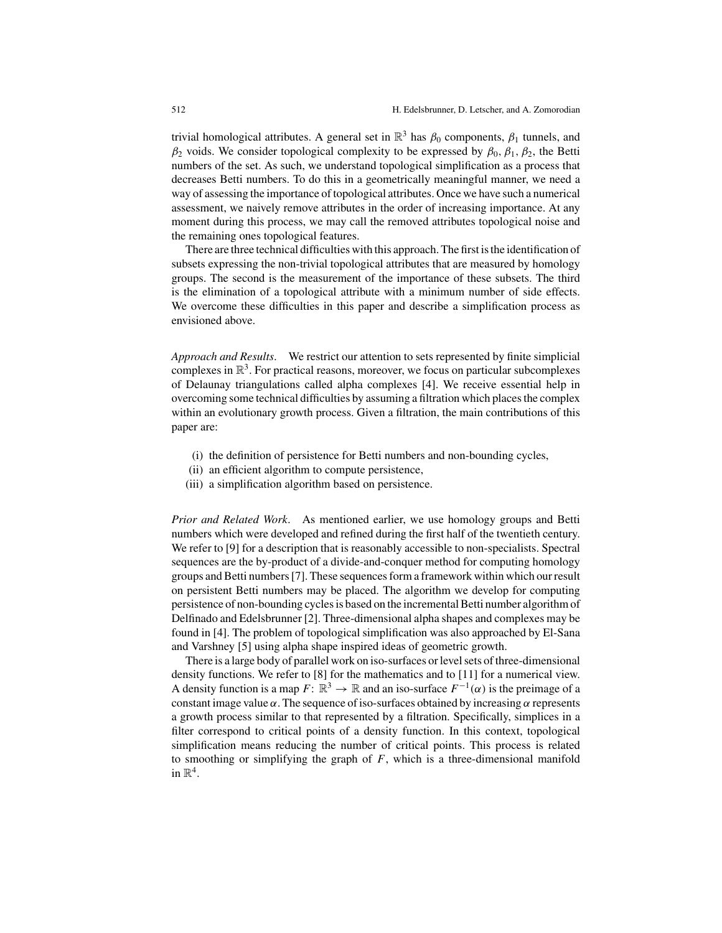trivial homological attributes. A general set in  $\mathbb{R}^3$  has  $\beta_0$  components,  $\beta_1$  tunnels, and  $\beta_2$  voids. We consider topological complexity to be expressed by  $\beta_0$ ,  $\beta_1$ ,  $\beta_2$ , the Betti numbers of the set. As such, we understand topological simplification as a process that decreases Betti numbers. To do this in a geometrically meaningful manner, we need a way of assessing the importance of topological attributes. Once we have such a numerical assessment, we naively remove attributes in the order of increasing importance. At any moment during this process, we may call the removed attributes topological noise and the remaining ones topological features.

There are three technical difficulties with this approach.The first isthe identification of subsets expressing the non-trivial topological attributes that are measured by homology groups. The second is the measurement of the importance of these subsets. The third is the elimination of a topological attribute with a minimum number of side effects. We overcome these difficulties in this paper and describe a simplification process as envisioned above.

*Approach and Results*. We restrict our attention to sets represented by finite simplicial complexes in  $\mathbb{R}^3$ . For practical reasons, moreover, we focus on particular subcomplexes of Delaunay triangulations called alpha complexes [4]. We receive essential help in overcoming some technical difficulties by assuming a filtration which places the complex within an evolutionary growth process. Given a filtration, the main contributions of this paper are:

- (i) the definition of persistence for Betti numbers and non-bounding cycles,
- (ii) an efficient algorithm to compute persistence,
- (iii) a simplification algorithm based on persistence.

*Prior and Related Work*. As mentioned earlier, we use homology groups and Betti numbers which were developed and refined during the first half of the twentieth century. We refer to [9] for a description that is reasonably accessible to non-specialists. Spectral sequences are the by-product of a divide-and-conquer method for computing homology groups and Betti numbers [7]. These sequences form a framework within which our result on persistent Betti numbers may be placed. The algorithm we develop for computing persistence of non-bounding cyclesis based on the incrementalBetti number algorithmof Delfinado and Edelsbrunner [2]. Three-dimensional alpha shapes and complexes may be found in [4]. The problem of topological simplification was also approached by El-Sana and Varshney [5] using alpha shape inspired ideas of geometric growth.

There is a large body of parallel work on iso-surfaces or level sets of three-dimensional density functions. We refer to [8] for the mathematics and to [11] for a numerical view. A density function is a map  $F: \mathbb{R}^3 \to \mathbb{R}$  and an iso-surface  $F^{-1}(\alpha)$  is the preimage of a constant image value  $\alpha$ . The sequence of iso-surfaces obtained by increasing  $\alpha$  represents a growth process similar to that represented by a filtration. Specifically, simplices in a filter correspond to critical points of a density function. In this context, topological simplification means reducing the number of critical points. This process is related to smoothing or simplifying the graph of  $F$ , which is a three-dimensional manifold in  $\mathbb{R}^4$ .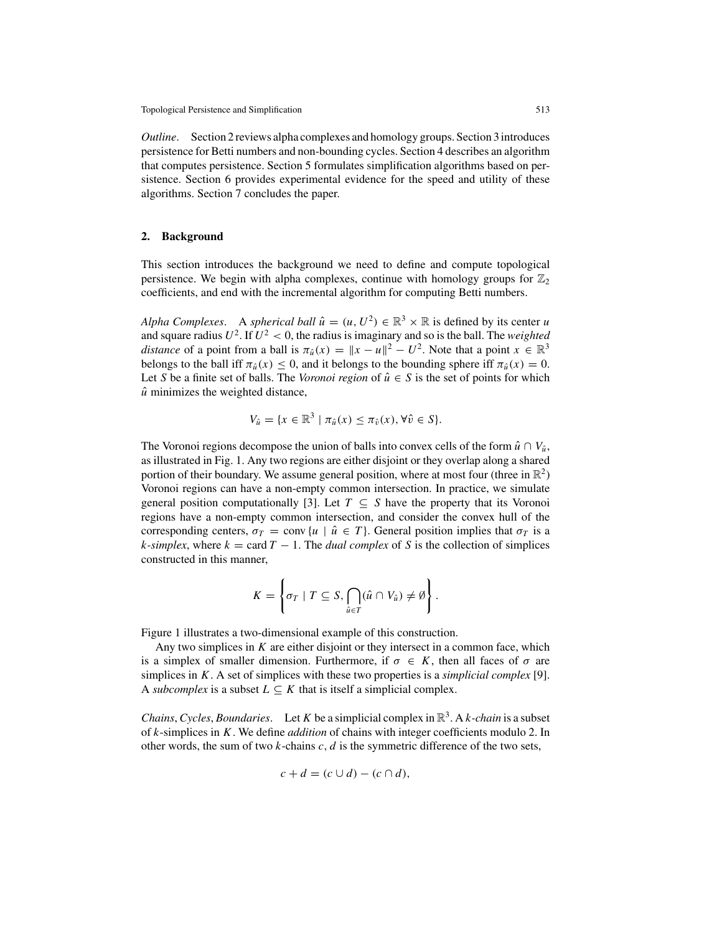*Outline.* Section 2 reviews alpha complexes and homology groups. Section 3 introduces persistence for Betti numbers and non-bounding cycles. Section 4 describes an algorithm that computes persistence. Section 5 formulates simplification algorithms based on persistence. Section 6 provides experimental evidence for the speed and utility of these algorithms. Section 7 concludes the paper.

#### **2. Background**

This section introduces the background we need to define and compute topological persistence. We begin with alpha complexes, continue with homology groups for  $\mathbb{Z}_2$ coefficients, and end with the incremental algorithm for computing Betti numbers.

*Alpha Complexes.* A *spherical ball*  $\hat{u} = (u, U^2) \in \mathbb{R}^3 \times \mathbb{R}$  is defined by its center *u* and square radius  $U^2$ . If  $U^2 < 0$ , the radius is imaginary and so is the ball. The *weighted distance* of a point from a ball is  $\pi_{\hat{u}}(x) = ||x - u||^2 - U^2$ . Note that a point  $x \in \mathbb{R}^3$ belongs to the ball iff  $\pi_{\hat{u}}(x) \leq 0$ , and it belongs to the bounding sphere iff  $\pi_{\hat{u}}(x) = 0$ . Let *S* be a finite set of balls. The *Voronoi* region of  $\hat{u} \in S$  is the set of points for which  $\hat{u}$  minimizes the weighted distance,

$$
V_{\hat{u}} = \{x \in \mathbb{R}^3 \mid \pi_{\hat{u}}(x) \leq \pi_{\hat{v}}(x), \forall \hat{v} \in S\}.
$$

The Voronoi regions decompose the union of balls into convex cells of the form  $\hat{u} \cap V_{\hat{u}}$ , as illustrated in Fig. 1. Any two regions are either disjoint or they overlap along a shared portion of their boundary. We assume general position, where at most four (three in  $\mathbb{R}^2$ ) Voronoi regions can have a non-empty common intersection. In practice, we simulate general position computationally [3]. Let  $T \subseteq S$  have the property that its Voronoi regions have a non-empty common intersection, and consider the convex hull of the corresponding centers,  $\sigma_T = \text{conv}\{u \mid \hat{u} \in T\}$ . General position implies that  $\sigma_T$  is a *k*-simplex, where  $k = \text{card } T - 1$ . The *dual complex* of *S* is the collection of simplices constructed in this manner,

$$
K = \left\{ \sigma_T \mid T \subseteq S, \bigcap_{\hat{u} \in T} (\hat{u} \cap V_{\hat{u}}) \neq \emptyset \right\}.
$$

Figure 1 illustrates a two-dimensional example of this construction.

Any two simplices in *K* are either disjoint or they intersect in a common face, which is a simplex of smaller dimension. Furthermore, if  $\sigma \in K$ , then all faces of  $\sigma$  are simplices in *K*. A set of simplices with these two properties is a *simplicial complex* [9]. A *subcomplex* is a subset  $L \subseteq K$  that is itself a simplicial complex.

*Chains*, *Cycles*, *Boundaries*. Let *K* be a simplicial complex in  $\mathbb{R}^3$ . A *k*-*chain* is a subset of *k*-simplices in *K*. We define *addition* of chains with integer coefficients modulo 2. In other words, the sum of two *k*-chains *c*, *d* is the symmetric difference of the two sets,

$$
c + d = (c \cup d) - (c \cap d),
$$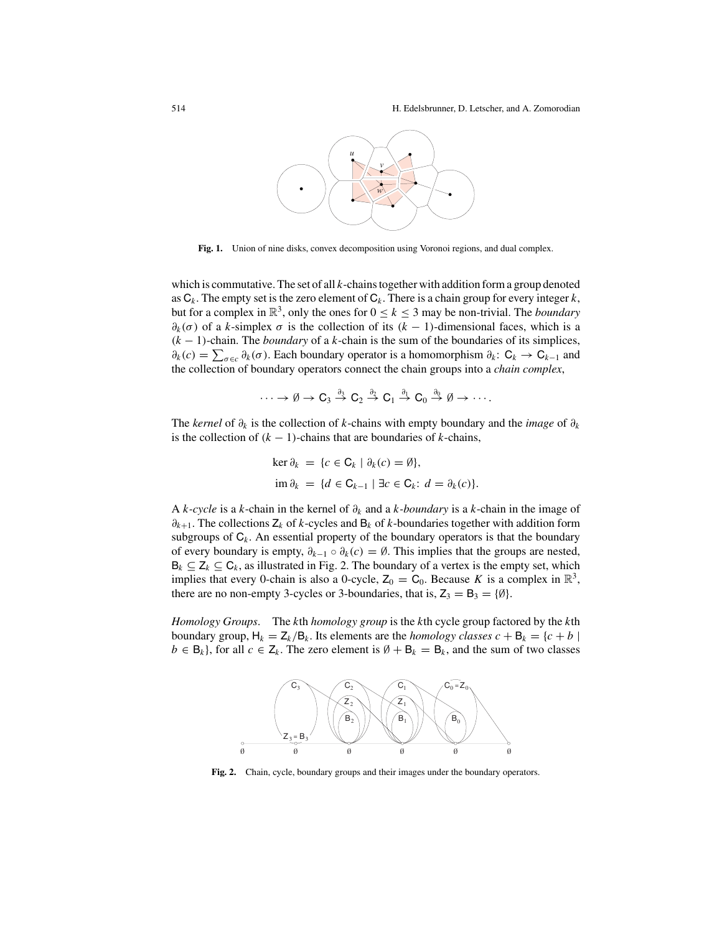

**Fig. 1.** Union of nine disks, convex decomposition using Voronoi regions, and dual complex.

which is commutative. The set of all *k*-chains together with addition form a group denoted as  $C_k$ . The empty set is the zero element of  $C_k$ . There is a chain group for every integer k, but for a complex in  $\mathbb{R}^3$ , only the ones for  $0 \le k \le 3$  may be non-trivial. The *boundary*  $\partial_k(\sigma)$  of a *k*-simplex  $\sigma$  is the collection of its  $(k-1)$ -dimensional faces, which is a (*k* − 1)-chain. The *boundary* of a *k*-chain is the sum of the boundaries of its simplices,  $\partial_k$  (*c*) =  $\sum_{\sigma \in c} \partial_k(\sigma)$ . Each boundary operator is a homomorphism  $\partial_k$ : C<sub>*k*</sub> → C<sub>*k*−1</sub> and the collection of boundary operators connect the chain groups into a *chain complex*,

$$
\cdots \to \emptyset \to C_3 \stackrel{\partial_3}{\to} C_2 \stackrel{\partial_2}{\to} C_1 \stackrel{\partial_1}{\to} C_0 \stackrel{\partial_0}{\to} \emptyset \to \cdots.
$$

The *kernel* of ∂*<sup>k</sup>* is the collection of *k*-chains with empty boundary and the *image* of ∂*<sup>k</sup>* is the collection of  $(k - 1)$ -chains that are boundaries of *k*-chains,

$$
\ker \partial_k = \{c \in \mathbf{C}_k \mid \partial_k(c) = \emptyset\},\
$$

$$
\mathrm{im} \,\partial_k = \{d \in \mathbf{C}_{k-1} \mid \exists c \in \mathbf{C}_k \colon d = \partial_k(c)\}.
$$

A *k-cycle* is a *k*-chain in the kernel of ∂*<sup>k</sup>* and a *k-boundary* is a *k*-chain in the image of ∂*<sup>k</sup>*+1. The collections <sup>Z</sup>*<sup>k</sup>* of *k*-cycles and <sup>B</sup>*<sup>k</sup>* of *k*-boundaries together with addition form subgroups of  $C_k$ . An essential property of the boundary operators is that the boundary of every boundary is empty,  $\partial_{k-1} \circ \partial_k(c) = \emptyset$ . This implies that the groups are nested,  $B_k \subseteq Z_k \subseteq C_k$ , as illustrated in Fig. 2. The boundary of a vertex is the empty set, which implies that every 0-chain is also a 0-cycle,  $Z_0 = C_0$ . Because *K* is a complex in  $\mathbb{R}^3$ , there are no non-empty 3-cycles or 3-boundaries, that is,  $Z_3 = B_3 = \{\emptyset\}.$ 

*Homology Groups*. The *k*th *homology group* is the *k*th cycle group factored by the *k*th boundary group,  $H_k = Z_k / B_k$ . Its elements are the *homology classes*  $c + B_k = \{c + b \mid$  $b \in \mathsf{B}_k$ , for all  $c \in \mathsf{Z}_k$ . The zero element is  $\emptyset + \mathsf{B}_k = \mathsf{B}_k$ , and the sum of two classes



**Fig. 2.** Chain, cycle, boundary groups and their images under the boundary operators.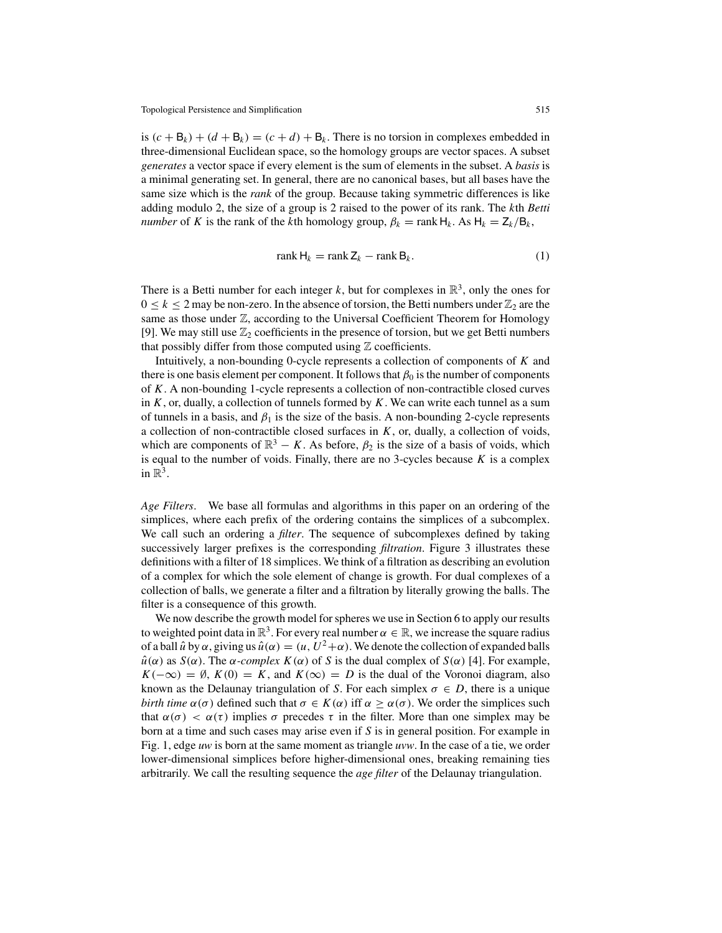is  $(c + B_k) + (d + B_k) = (c + d) + B_k$ . There is no torsion in complexes embedded in three-dimensional Euclidean space, so the homology groups are vector spaces. A subset *generates* a vector space if every element is the sum of elements in the subset. A *basis* is a minimal generating set. In general, there are no canonical bases, but all bases have the same size which is the *rank* of the group. Because taking symmetric differences is like adding modulo 2, the size of a group is 2 raised to the power of its rank. The *k*th *Betti number* of *K* is the rank of the *k*th homology group,  $\beta_k = \text{rank } H_k$ . As  $H_k = Z_k / B_k$ ,

$$
rank H_k = rank Z_k - rank B_k.
$$
 (1)

There is a Betti number for each integer  $k$ , but for complexes in  $\mathbb{R}^3$ , only the ones for  $0 \le k \le 2$  may be non-zero. In the absence of torsion, the Betti numbers under  $\mathbb{Z}_2$  are the same as those under  $\mathbb{Z}$ , according to the Universal Coefficient Theorem for Homology [9]. We may still use  $\mathbb{Z}_2$  coefficients in the presence of torsion, but we get Betti numbers that possibly differ from those computed using  $\mathbb Z$  coefficients.

Intuitively, a non-bounding 0-cycle represents a collection of components of *K* and there is one basis element per component. It follows that  $\beta_0$  is the number of components of *K*. A non-bounding 1-cycle represents a collection of non-contractible closed curves in *K*, or, dually, a collection of tunnels formed by *K*. We can write each tunnel as a sum of tunnels in a basis, and  $\beta_1$  is the size of the basis. A non-bounding 2-cycle represents a collection of non-contractible closed surfaces in  $K$ , or, dually, a collection of voids, which are components of  $\mathbb{R}^3 - K$ . As before,  $\beta_2$  is the size of a basis of voids, which is equal to the number of voids. Finally, there are no 3-cycles because  $K$  is a complex in  $\mathbb{R}^3$ .

*Age Filters*. We base all formulas and algorithms in this paper on an ordering of the simplices, where each prefix of the ordering contains the simplices of a subcomplex. We call such an ordering a *filter*. The sequence of subcomplexes defined by taking successively larger prefixes is the corresponding *filtration*. Figure 3 illustrates these definitions with a filter of 18 simplices. We think of a filtration as describing an evolution of a complex for which the sole element of change is growth. For dual complexes of a collection of balls, we generate a filter and a filtration by literally growing the balls. The filter is a consequence of this growth.

We now describe the growth model for spheres we use in Section 6 to apply our results to weighted point data in  $\mathbb{R}^3$ . For every real number  $\alpha \in \mathbb{R}$ , we increase the square radius of a ball  $\hat{u}$  by  $\alpha$ , giving us  $\hat{u}(\alpha) = (u, U^2 + \alpha)$ . We denote the collection of expanded balls  $\hat{u}(\alpha)$  as  $S(\alpha)$ . The  $\alpha$ -complex  $K(\alpha)$  of *S* is the dual complex of  $S(\alpha)$  [4]. For example,  $K(-\infty) = \emptyset$ ,  $K(0) = K$ , and  $K(\infty) = D$  is the dual of the Voronoi diagram, also known as the Delaunay triangulation of *S*. For each simplex  $\sigma \in D$ , there is a unique *birth time*  $\alpha(\sigma)$  defined such that  $\sigma \in K(\alpha)$  iff  $\alpha \geq \alpha(\sigma)$ . We order the simplices such that  $\alpha(\sigma) < \alpha(\tau)$  implies  $\sigma$  precedes  $\tau$  in the filter. More than one simplex may be born at a time and such cases may arise even if *S* is in general position. For example in Fig. 1, edge *uw* is born at the same moment as triangle *uvw*. In the case of a tie, we order lower-dimensional simplices before higher-dimensional ones, breaking remaining ties arbitrarily. We call the resulting sequence the *age filter* of the Delaunay triangulation.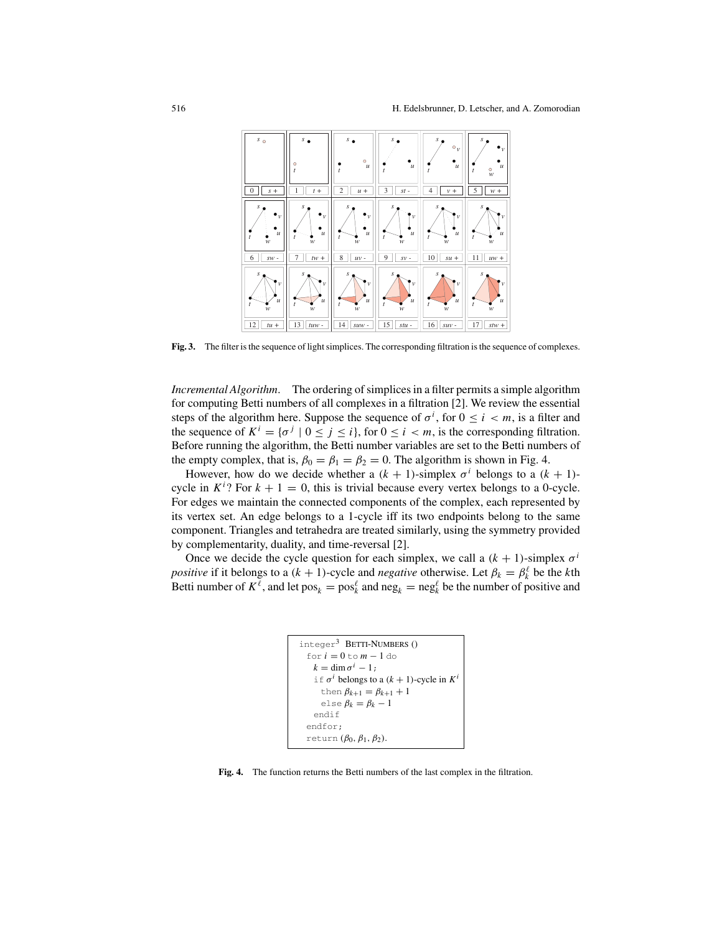

**Fig. 3.** The filter is the sequence of light simplices. The corresponding filtration is the sequence of complexes.

*Incremental Algorithm*. The ordering of simplices in a filter permits a simple algorithm for computing Betti numbers of all complexes in a filtration [2]. We review the essential steps of the algorithm here. Suppose the sequence of  $\sigma^i$ , for  $0 \le i \le m$ , is a filter and the sequence of  $K^i = \{\sigma^j \mid 0 \leq j \leq i\}$ , for  $0 \leq i < m$ , is the corresponding filtration. Before running the algorithm, the Betti number variables are set to the Betti numbers of the empty complex, that is,  $\beta_0 = \beta_1 = \beta_2 = 0$ . The algorithm is shown in Fig. 4.

However, how do we decide whether a  $(k + 1)$ -simplex  $\sigma^{i}$  belongs to a  $(k + 1)$ cycle in  $K^i$ ? For  $k + 1 = 0$ , this is trivial because every vertex belongs to a 0-cycle. For edges we maintain the connected components of the complex, each represented by its vertex set. An edge belongs to a 1-cycle iff its two endpoints belong to the same component. Triangles and tetrahedra are treated similarly, using the symmetry provided by complementarity, duality, and time-reversal [2].

Once we decide the cycle question for each simplex, we call a  $(k + 1)$ -simplex  $\sigma^{i}$ *positive* if it belongs to a  $(k + 1)$ -cycle and *negative* otherwise. Let  $\beta_k = \beta_k^{\ell}$  be the *k*th Betti number of  $K^{\ell}$ , and let  $pos_k = pos_k^{\ell}$  and  $neg_k = neg_k^{\ell}$  be the number of positive and

```
integer3 BETTI-NUMBERS ()
  for i = 0 to m - 1 do
    k = \dim \sigma^{i} - 1;if \sigma^i belongs to a (k + 1)-cycle in K^ithen \beta_{k+1} = \beta_{k+1} + 1else \beta_k = \beta_k - 1endif
  endfor;
  return (\beta_0, \beta_1, \beta_2).
```
**Fig. 4.** The function returns the Betti numbers of the last complex in the filtration.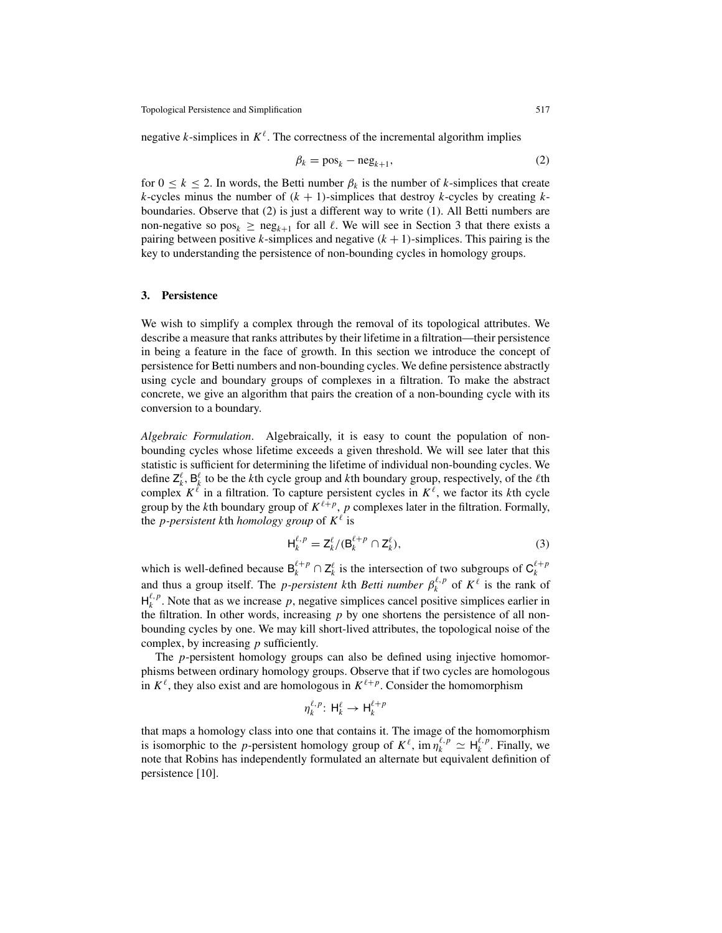negative *k*-simplices in  $K^{\ell}$ . The correctness of the incremental algorithm implies

$$
\beta_k = \text{pos}_k - \text{neg}_{k+1},\tag{2}
$$

for  $0 \le k \le 2$ . In words, the Betti number  $\beta_k$  is the number of *k*-simplices that create *k*-cycles minus the number of  $(k + 1)$ -simplices that destroy *k*-cycles by creating *k*boundaries. Observe that (2) is just a different way to write (1). All Betti numbers are non-negative so  $pos_k \geq neg_{k+1}$  for all  $\ell$ . We will see in Section 3 that there exists a pairing between positive *k*-simplices and negative  $(k + 1)$ -simplices. This pairing is the key to understanding the persistence of non-bounding cycles in homology groups.

# **3. Persistence**

We wish to simplify a complex through the removal of its topological attributes. We describe a measure that ranks attributes by their lifetime in a filtration—their persistence in being a feature in the face of growth. In this section we introduce the concept of persistence for Betti numbers and non-bounding cycles. We define persistence abstractly using cycle and boundary groups of complexes in a filtration. To make the abstract concrete, we give an algorithm that pairs the creation of a non-bounding cycle with its conversion to a boundary.

*Algebraic Formulation*. Algebraically, it is easy to count the population of nonbounding cycles whose lifetime exceeds a given threshold. We will see later that this statistic is sufficient for determining the lifetime of individual non-bounding cycles. We define  $Z_k^{\ell}$ ,  $B_k^{\ell}$  to be the *k*th cycle group and *k*th boundary group, respectively, of the  $\ell$ th complex  $K^{\ell}$  in a filtration. To capture persistent cycles in  $K^{\ell}$ , we factor its *k*th cycle group by the *k*th boundary group of  $K^{\ell+p}$ , *p* complexes later in the filtration. Formally, the *p-persistent* kth *homology* group of  $K^{\ell}$  is

$$
\mathsf{H}_{k}^{\ell,p} = \mathsf{Z}_{k}^{\ell} / (\mathsf{B}_{k}^{\ell+p} \cap \mathsf{Z}_{k}^{\ell}),\tag{3}
$$

which is well-defined because  $B_k^{\ell+p} \cap Z_k^{\ell}$  is the intersection of two subgroups of  $C_k^{\ell+p}$ and thus a group itself. The *p-persistent k*th *Betti number*  $\beta_k^{\ell,p}$  of  $K^{\ell}$  is the rank of  $H_k^{\ell,p}$ . Note that as we increase p, negative simplices cancel positive simplices earlier in the filtration. In other words, increasing *p* by one shortens the persistence of all nonbounding cycles by one. We may kill short-lived attributes, the topological noise of the complex, by increasing *p* sufficiently.

The *p*-persistent homology groups can also be defined using injective homomorphisms between ordinary homology groups. Observe that if two cycles are homologous in  $K^{\ell}$ , they also exist and are homologous in  $K^{\ell+p}$ . Consider the homomorphism

$$
\eta_k^{\ell,p}\colon \mathsf{H}_k^{\ell} \to \mathsf{H}_k^{\ell+p}
$$

that maps a homology class into one that contains it. The image of the homomorphism is isomorphic to the *p*-persistent homology group of  $K^{\ell}$ , im  $\eta_k^{\ell,p} \simeq H_k^{\ell,p}$ . Finally, we note that Robins has independently formulated an alternate but equivalent definition of persistence [10].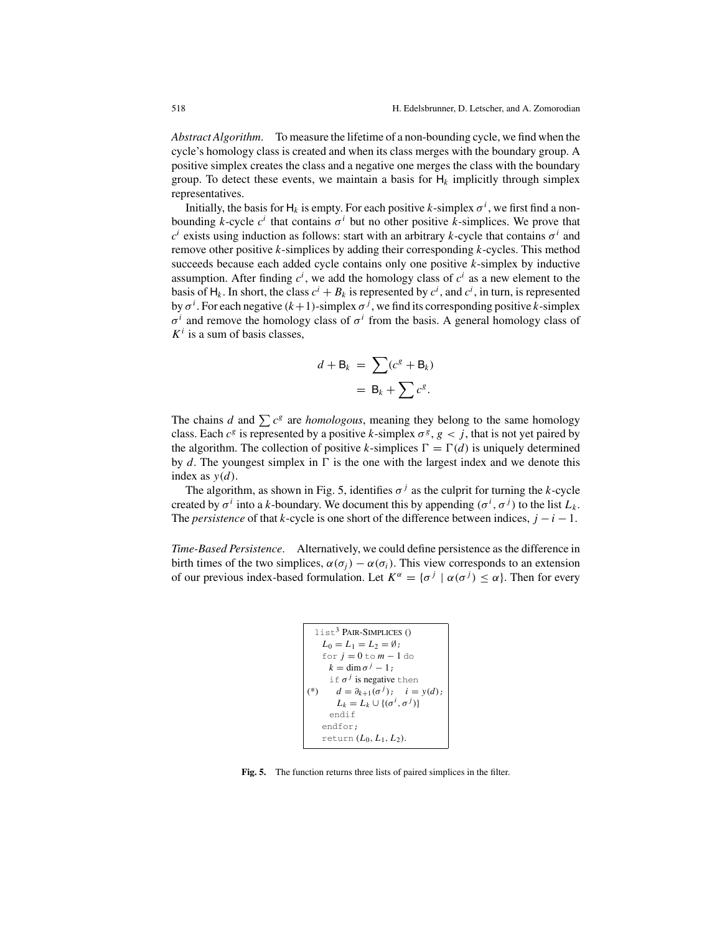*Abstract Algorithm*. To measure the lifetime of a non-bounding cycle, we find when the cycle's homology class is created and when its class merges with the boundary group. A positive simplex creates the class and a negative one merges the class with the boundary group. To detect these events, we maintain a basis for  $H_k$  implicitly through simplex representatives.

Initially, the basis for  $H_k$  is empty. For each positive *k*-simplex  $\sigma^i$ , we first find a nonbounding *k*-cycle  $c^i$  that contains  $\sigma^i$  but no other positive *k*-simplices. We prove that  $c<sup>i</sup>$  exists using induction as follows: start with an arbitrary *k*-cycle that contains  $\sigma<sup>i</sup>$  and remove other positive *k*-simplices by adding their corresponding *k*-cycles. This method succeeds because each added cycle contains only one positive *k*-simplex by inductive assumption. After finding  $c^i$ , we add the homology class of  $c^i$  as a new element to the basis of  $H_k$ . In short, the class  $c^i + B_k$  is represented by  $c^i$ , and  $c^i$ , in turn, is represented by  $\sigma^i$ . For each negative  $(k+1)$ -simplex  $\sigma^j$ , we find its corresponding positive *k*-simplex  $\sigma^{i}$  and remove the homology class of  $\sigma^{i}$  from the basis. A general homology class of  $K^i$  is a sum of basis classes,

$$
d + B_k = \sum (c^g + B_k)
$$
  
= B<sub>k</sub> +  $\sum c^g$ .

The chains *d* and  $\sum c^g$  are *homologous*, meaning they belong to the same homology class. Each  $c^g$  is represented by a positive *k*-simplex  $\sigma^g$ ,  $g < j$ , that is not yet paired by the algorithm. The collection of positive *k*-simplices  $\Gamma = \Gamma(d)$  is uniquely determined by *d*. The youngest simplex in  $\Gamma$  is the one with the largest index and we denote this index as  $y(d)$ .

The algorithm, as shown in Fig. 5, identifies  $\sigma^{j}$  as the culprit for turning the *k*-cycle created by  $\sigma^i$  into a *k*-boundary. We document this by appending  $(\sigma^i, \sigma^j)$  to the list  $L_k$ . The *persistence* of that *k*-cycle is one short of the difference between indices,  $j - i - 1$ .

*Time-Based Persistence*. Alternatively, we could define persistence as the difference in birth times of the two simplices,  $\alpha(\sigma_i) - \alpha(\sigma_i)$ . This view corresponds to an extension of our previous index-based formulation. Let  $K^{\alpha} = {\sigma^{j} \mid \alpha(\sigma^{j}) \leq \alpha}$ . Then for every

```
\frac{1 \text{ is } t^3 \text{ P}AIR-SIMPLICES ()
    L_0 = L_1 = L_2 = \emptyset;for j = 0 to m - 1 do
      k = \dim \sigma^{j} - 1;if \sigma^{j} is negative then
(*) d = \partial_{k+1}(\sigma^j); \quad i = y(d);L_k = L_k \cup \{(\sigma^i, \sigma^j)\}endif
    endfor;
    return (L0, L1, L2).
```
**Fig. 5.** The function returns three lists of paired simplices in the filter.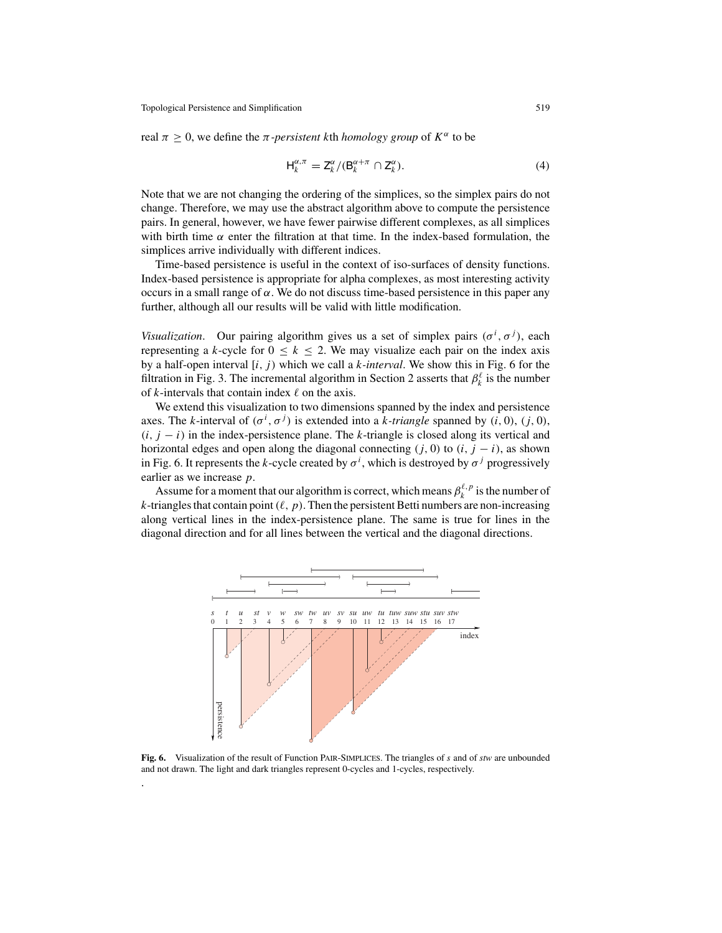real  $\pi \geq 0$ , we define the  $\pi$ -persistent kth *homology* group of  $K^{\alpha}$  to be

$$
H_k^{\alpha,\pi} = Z_k^{\alpha}/(B_k^{\alpha+\pi} \cap Z_k^{\alpha}).
$$
\n(4)

Note that we are not changing the ordering of the simplices, so the simplex pairs do not change. Therefore, we may use the abstract algorithm above to compute the persistence pairs. In general, however, we have fewer pairwise different complexes, as all simplices with birth time  $\alpha$  enter the filtration at that time. In the index-based formulation, the simplices arrive individually with different indices.

Time-based persistence is useful in the context of iso-surfaces of density functions. Index-based persistence is appropriate for alpha complexes, as most interesting activity occurs in a small range of  $\alpha$ . We do not discuss time-based persistence in this paper any further, although all our results will be valid with little modification.

*Visualization*. Our pairing algorithm gives us a set of simplex pairs  $(\sigma^i, \sigma^j)$ , each representing a *k*-cycle for  $0 \le k \le 2$ . We may visualize each pair on the index axis by a half-open interval [*i*, *j*) which we call a *k-interval*. We show this in Fig. 6 for the filtration in Fig. 3. The incremental algorithm in Section 2 asserts that  $\beta_k^{\ell}$  is the number of  $k$ -intervals that contain index  $\ell$  on the axis.

We extend this visualization to two dimensions spanned by the index and persistence axes. The *k*-interval of  $(\sigma^i, \sigma^j)$  is extended into a *k*-triangle spanned by  $(i, 0), (j, 0)$ ,  $(i, j - i)$  in the index-persistence plane. The *k*-triangle is closed along its vertical and horizontal edges and open along the diagonal connecting  $(j, 0)$  to  $(i, j - i)$ , as shown in Fig. 6. It represents the *k*-cycle created by  $\sigma^i$ , which is destroyed by  $\sigma^j$  progressively earlier as we increase *p*.

Assume for a moment that our algorithm is correct, which means  $\beta_k^{\ell, p}$  is the number of  $k$ -triangles that contain point  $(\ell, p)$ . Then the persistent Betti numbers are non-increasing along vertical lines in the index-persistence plane. The same is true for lines in the diagonal direction and for all lines between the vertical and the diagonal directions.



**Fig. 6.** Visualization of the result of Function PAIR-SIMPLICES. The triangles of *s* and of *stw* are unbounded and not drawn. The light and dark triangles represent 0-cycles and 1-cycles, respectively.

.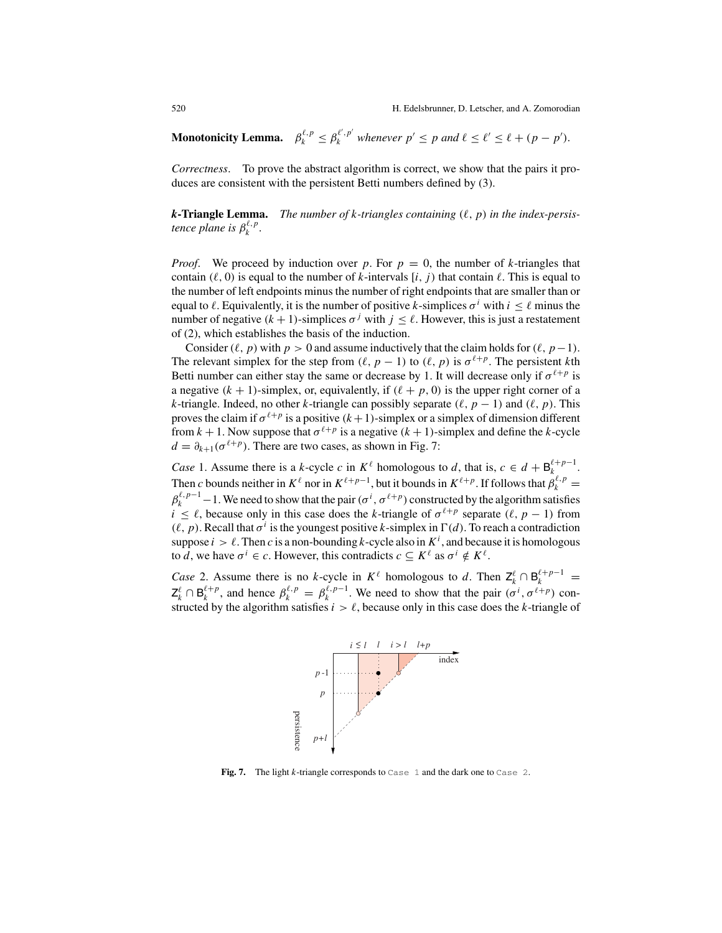**Monotonicity Lemma.**  $\beta_k^{\ell,p} \leq \beta_k^{\ell',p'}$  whenever  $p' \leq p$  and  $\ell \leq \ell' \leq \ell + (p-p')$ .

*Correctness*. To prove the abstract algorithm is correct, we show that the pairs it produces are consistent with the persistent Betti numbers defined by (3).

*k***-Triangle Lemma.** The number of *k*-triangles containing  $(\ell, p)$  in the index-persis*tence plane is*  $\beta_k^{\ell,p}$ .

*Proof.* We proceed by induction over *p*. For  $p = 0$ , the number of *k*-triangles that contain  $(\ell, 0)$  is equal to the number of *k*-intervals  $[i, j)$  that contain  $\ell$ . This is equal to the number of left endpoints minus the number of right endpoints that are smaller than or equal to  $\ell$ . Equivalently, it is the number of positive *k*-simplices  $\sigma^i$  with  $i \leq \ell$  minus the number of negative  $(k + 1)$ -simplices  $\sigma^{j}$  with  $j < \ell$ . However, this is just a restatement of (2), which establishes the basis of the induction.

Consider ( $\ell$ , *p*) with  $p > 0$  and assume inductively that the claim holds for ( $\ell$ , *p*−1). The relevant simplex for the step from  $(\ell, p - 1)$  to  $(\ell, p)$  is  $\sigma^{\ell+p}$ . The persistent *k*th Betti number can either stay the same or decrease by 1. It will decrease only if  $\sigma^{\ell+p}$  is a negative  $(k + 1)$ -simplex, or, equivalently, if  $(\ell + p, 0)$  is the upper right corner of a *k*-triangle. Indeed, no other *k*-triangle can possibly separate ( $\ell$ , *p* − 1) and ( $\ell$ , *p*). This proves the claim if  $\sigma^{\ell+p}$  is a positive  $(k+1)$ -simplex or a simplex of dimension different from  $k + 1$ . Now suppose that  $\sigma^{\ell+p}$  is a negative  $(k + 1)$ -simplex and define the *k*-cycle  $d = \partial_{k+1}(\sigma^{\ell+p})$ . There are two cases, as shown in Fig. 7:

*Case* 1. Assume there is a *k*-cycle *c* in  $K^{\ell}$  homologous to *d*, that is,  $c \in d + B_{k}^{\ell+p-1}$ . Then *c* bounds neither in  $K^{\ell}$  nor in  $K^{\ell+p-1}$ , but it bounds in  $K^{\ell+p}$ . If follows that  $\beta_k^{\ell,p} =$  $\beta_k^{\ell,p-1}$  – 1. We need to show that the pair ( $\sigma^i$ ,  $\sigma^{\ell+p}$ ) constructed by the algorithm satisfies *i*  $\leq \ell$ , because only in this case does the *k*-triangle of  $\sigma^{\ell+p}$  separate ( $\ell$ , *p* − 1) from  $(\ell, p)$ . Recall that  $\sigma^i$  is the youngest positive *k*-simplex in  $\Gamma(d)$ . To reach a contradiction suppose  $i > l$ . Then c is a non-bounding k-cycle also in  $K^i$ , and because it is homologous to *d*, we have  $\sigma^i \in c$ . However, this contradicts  $c \subseteq K^{\ell}$  as  $\sigma^i \notin K^{\ell}$ .

*Case* 2. Assume there is no *k*-cycle in  $K^{\ell}$  homologous to *d*. Then  $Z^{\ell}$ <sub>*k*</sub> ∩  $B^{\ell+p-1}$ <sup>*k*</sup>  $Z_k^{\ell} \cap B_k^{\ell+p}$ , and hence  $\beta_k^{\ell,p} = \beta_k^{\ell,p-1}$ . We need to show that the pair  $(\sigma^i, \sigma^{\ell+p})$  constructed by the algorithm satisfies  $i > \ell$ , because only in this case does the *k*-triangle of



**Fig. 7.** The light *k*-triangle corresponds to Case 1 and the dark one to Case 2.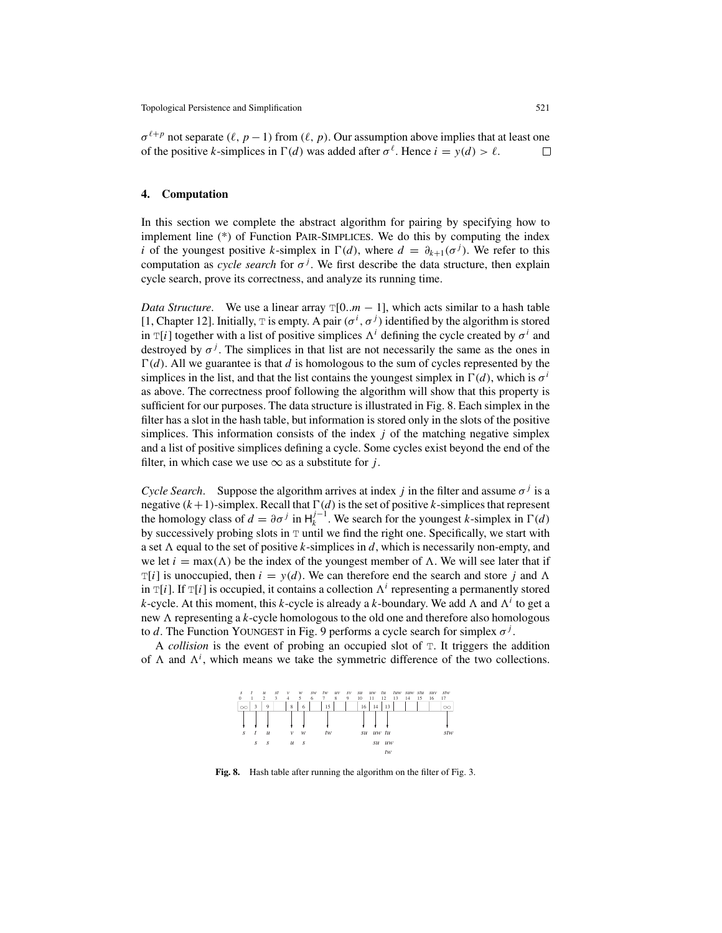$\sigma^{\ell+p}$  not separate ( $\ell, p-1$ ) from ( $\ell, p$ ). Our assumption above implies that at least one of the positive *k*-simplices in  $\Gamma(d)$  was added after  $\sigma^{\ell}$ . Hence  $i = y(d) > \ell$ .  $\Box$ 

# **4. Computation**

In this section we complete the abstract algorithm for pairing by specifying how to implement line (\*) of Function PAIR-SIMPLICES. We do this by computing the index *i* of the youngest positive *k*-simplex in  $\Gamma(d)$ , where  $d = \partial_{k+1}(\sigma^j)$ . We refer to this computation as *cycle search* for  $\sigma^{j}$ . We first describe the data structure, then explain cycle search, prove its correctness, and analyze its running time.

*Data Structure*. We use a linear array  $T[0..m - 1]$ , which acts similar to a hash table [1, Chapter 12]. Initially, T is empty. A pair  $(\sigma^i, \sigma^j)$  identified by the algorithm is stored in  $T[i]$  together with a list of positive simplices  $\Lambda^i$  defining the cycle created by  $\sigma^i$  and destroyed by  $\sigma^{j}$ . The simplices in that list are not necessarily the same as the ones in  $\Gamma(d)$ . All we guarantee is that *d* is homologous to the sum of cycles represented by the simplices in the list, and that the list contains the youngest simplex in  $\Gamma(d)$ , which is  $\sigma^i$ as above. The correctness proof following the algorithm will show that this property is sufficient for our purposes. The data structure is illustrated in Fig. 8. Each simplex in the filter has a slot in the hash table, but information is stored only in the slots of the positive simplices. This information consists of the index *j* of the matching negative simplex and a list of positive simplices defining a cycle. Some cycles exist beyond the end of the filter, in which case we use  $\infty$  as a substitute for *j*.

*Cycle Search*. Suppose the algorithm arrives at index *j* in the filter and assume  $\sigma^{j}$  is a negative  $(k+1)$ -simplex. Recall that  $\Gamma(d)$  is the set of positive *k*-simplices that represent the homology class of  $d = \partial \sigma^j$  in  $H_k^{j-1}$ . We search for the youngest *k*-simplex in  $\Gamma(d)$ by successively probing slots in T until we find the right one. Specifically, we start with a set  $\Lambda$  equal to the set of positive *k*-simplices in *d*, which is necessarily non-empty, and we let  $i = \max(\Lambda)$  be the index of the youngest member of  $\Lambda$ . We will see later that if  $T[i]$  is unoccupied, then  $i = y(d)$ . We can therefore end the search and store *j* and  $\Lambda$ in  $T[i]$ . If  $T[i]$  is occupied, it contains a collection  $\Lambda^i$  representing a permanently stored *k*-cycle. At this moment, this *k*-cycle is already a *k*-boundary. We add  $\Lambda$  and  $\Lambda^i$  to get a new  $\Lambda$  representing a *k*-cycle homologous to the old one and therefore also homologous to *d*. The Function YOUNGEST in Fig. 9 performs a cycle search for simplex  $\sigma^{j}$ .

A *collision* is the event of probing an occupied slot of T. It triggers the addition of  $\Lambda$  and  $\Lambda^i$ , which means we take the symmetric difference of the two collections.



**Fig. 8.** Hash table after running the algorithm on the filter of Fig. 3.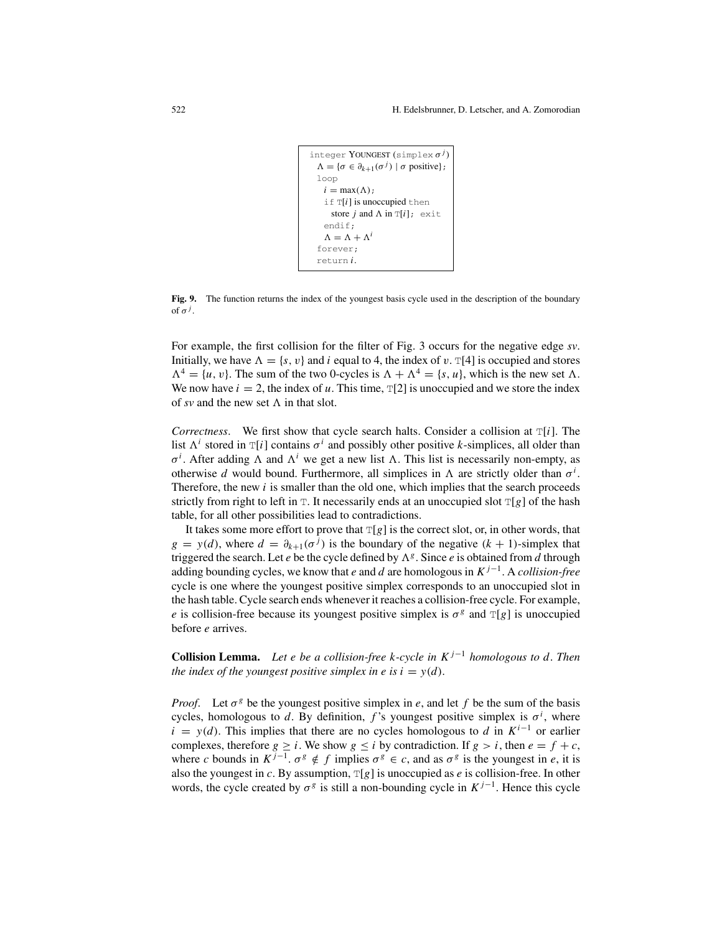```
integer YOUNGEST (simplex σ j
)
  \Lambda = {\sigma \in \partial_{k+1}(\sigma^j) \mid \sigma \text{ positive}};loop
   i = max(\Lambda);if T[i] is unoccupied then
      store j and \Lambda in T[i]; exit
    endif;
    \Lambda = \Lambda + \Lambda^iforever;
 return i.
```
**Fig. 9.** The function returns the index of the youngest basis cycle used in the description of the boundary of  $\sigma^j$ .

For example, the first collision for the filter of Fig. 3 occurs for the negative edge *sv*. Initially, we have  $\Lambda = \{s, v\}$  and *i* equal to 4, the index of v.  $T[4]$  is occupied and stores  $\Lambda^4 = \{u, v\}$ . The sum of the two 0-cycles is  $\Lambda + \Lambda^4 = \{s, u\}$ , which is the new set  $\Lambda$ . We now have  $i = 2$ , the index of *u*. This time,  $T[2]$  is unoccupied and we store the index of *sv* and the new set  $\Lambda$  in that slot.

*Correctness.* We first show that cycle search halts. Consider a collision at  $T[i]$ . The list  $\Lambda^i$  stored in  $T[i]$  contains  $\sigma^i$  and possibly other positive *k*-simplices, all older than  $\sigma^i$ . After adding  $\Lambda$  and  $\Lambda^i$  we get a new list  $\Lambda$ . This list is necessarily non-empty, as otherwise *d* would bound. Furthermore, all simplices in  $\Lambda$  are strictly older than  $\sigma^i$ . Therefore, the new *i* is smaller than the old one, which implies that the search proceeds strictly from right to left in  $\text{T}$ . It necessarily ends at an unoccupied slot  $\text{T}[\text{g}]$  of the hash table, for all other possibilities lead to contradictions.

It takes some more effort to prove that  $T[g]$  is the correct slot, or, in other words, that  $g = y(d)$ , where  $d = \partial_{k+1}(\sigma^j)$  is the boundary of the negative  $(k + 1)$ -simplex that triggered the search. Let  $e$  be the cycle defined by  $\Lambda$ <sup>g</sup>. Since  $e$  is obtained from  $d$  through adding bounding cycles, we know that *e* and *d* are homologous in *K <sup>j</sup>*−1. A *collision-free* cycle is one where the youngest positive simplex corresponds to an unoccupied slot in the hash table. Cycle search ends whenever it reaches a collision-free cycle. For example, *e* is collision-free because its youngest positive simplex is  $\sigma$ <sup>*g*</sup> and  $T[g]$  is unoccupied before *e* arrives.

**Collision Lemma.** Let *e* be a collision-free *k*-cycle in  $K^{j-1}$  homologous to *d*. Then *the index of the youngest positive simplex in e is*  $i = y(d)$ .

*Proof.* Let  $\sigma^g$  be the youngest positive simplex in *e*, and let *f* be the sum of the basis cycles, homologous to *d*. By definition, *f*'s youngest positive simplex is  $\sigma^{i}$ , where  $i = y(d)$ . This implies that there are no cycles homologous to *d* in  $K^{i-1}$  or earlier complexes, therefore  $g \ge i$ . We show  $g \le i$  by contradiction. If  $g > i$ , then  $e = f + c$ , where *c* bounds in  $K^{j-1}$ .  $\sigma^g \notin f$  implies  $\sigma^g \in c$ , and as  $\sigma^g$  is the youngest in *e*, it is also the youngest in *c*. By assumption,  $T[g]$  is unoccupied as *e* is collision-free. In other words, the cycle created by  $\sigma^g$  is still a non-bounding cycle in  $K^{j-1}$ . Hence this cycle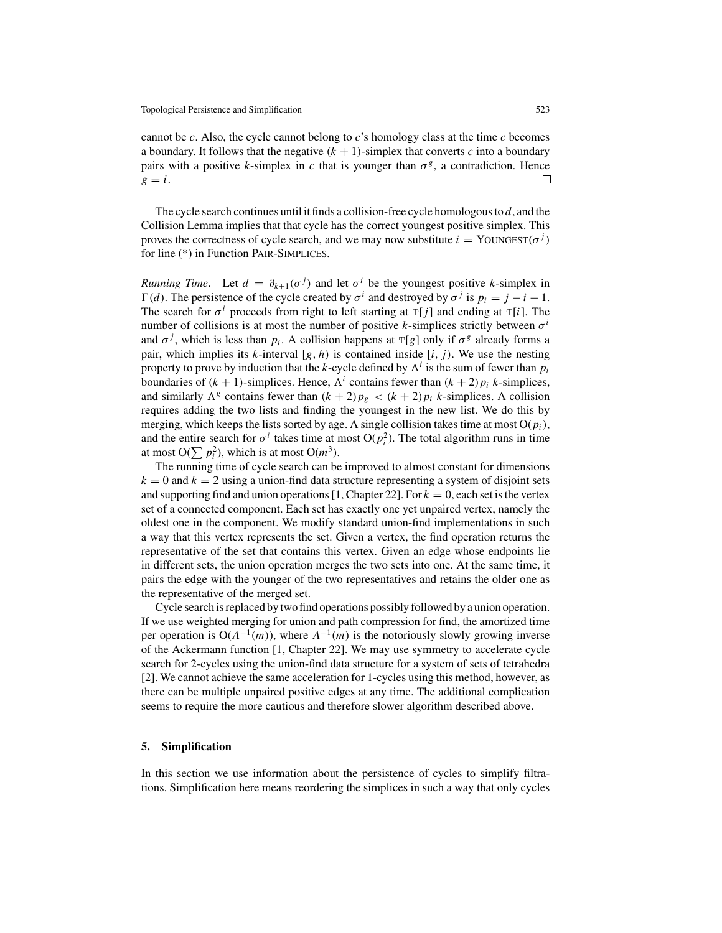cannot be *c*. Also, the cycle cannot belong to *c*'s homology class at the time *c* becomes a boundary. It follows that the negative  $(k + 1)$ -simplex that converts *c* into a boundary pairs with a positive *k*-simplex in *c* that is younger than  $\sigma$ <sup>*g*</sup>, a contradiction. Hence  $g = i$ . □

The cycle search continues until it finds a collision-free cycle homologousto *d*, and the Collision Lemma implies that that cycle has the correct youngest positive simplex. This proves the correctness of cycle search, and we may now substitute  $i = \text{YoungEST}(\sigma^j)$ for line (\*) in Function PAIR-SIMPLICES.

*Running Time.* Let  $d = \partial_{k+1}(\sigma^j)$  and let  $\sigma^i$  be the youngest positive *k*-simplex in  $\Gamma(d)$ . The persistence of the cycle created by  $\sigma^{i}$  and destroyed by  $\sigma^{j}$  is  $p_{i} = j - i - 1$ . The search for  $\sigma^i$  proceeds from right to left starting at  $T[j]$  and ending at  $T[i]$ . The number of collisions is at most the number of positive *k*-simplices strictly between σ*<sup>i</sup>* and  $\sigma^{j}$ , which is less than  $p_{i}$ . A collision happens at  $T[g]$  only if  $\sigma^{g}$  already forms a pair, which implies its  $k$ -interval  $[g, h)$  is contained inside  $[i, j)$ . We use the nesting property to prove by induction that the *k*-cycle defined by  $\Lambda^i$  is the sum of fewer than  $p_i$ boundaries of  $(k + 1)$ -simplices. Hence,  $\Lambda^i$  contains fewer than  $(k + 2)p_i$  *k*-simplices, and similarly  $\Lambda^g$  contains fewer than  $(k+2)p_g < (k+2)p_i$  *k*-simplices. A collision requires adding the two lists and finding the youngest in the new list. We do this by merging, which keeps the lists sorted by age. A single collision takes time at most  $O(p_i)$ , and the entire search for  $\sigma^{i}$  takes time at most  $O(p_i^2)$ . The total algorithm runs in time at most  $O(\sum p_i^2)$ , which is at most  $O(m^3)$ .

The running time of cycle search can be improved to almost constant for dimensions  $k = 0$  and  $k = 2$  using a union-find data structure representing a system of disjoint sets and supporting find and union operations [1, Chapter 22]. For  $k = 0$ , each set is the vertex set of a connected component. Each set has exactly one yet unpaired vertex, namely the oldest one in the component. We modify standard union-find implementations in such a way that this vertex represents the set. Given a vertex, the find operation returns the representative of the set that contains this vertex. Given an edge whose endpoints lie in different sets, the union operation merges the two sets into one. At the same time, it pairs the edge with the younger of the two representatives and retains the older one as the representative of the merged set.

Cycle search isreplaced by two find operations possibly followed by a union operation. If we use weighted merging for union and path compression for find, the amortized time per operation is  $O(A^{-1}(m))$ , where  $A^{-1}(m)$  is the notoriously slowly growing inverse of the Ackermann function [1, Chapter 22]. We may use symmetry to accelerate cycle search for 2-cycles using the union-find data structure for a system of sets of tetrahedra [2]. We cannot achieve the same acceleration for 1-cycles using this method, however, as there can be multiple unpaired positive edges at any time. The additional complication seems to require the more cautious and therefore slower algorithm described above.

# **5. Simplification**

In this section we use information about the persistence of cycles to simplify filtrations. Simplification here means reordering the simplices in such a way that only cycles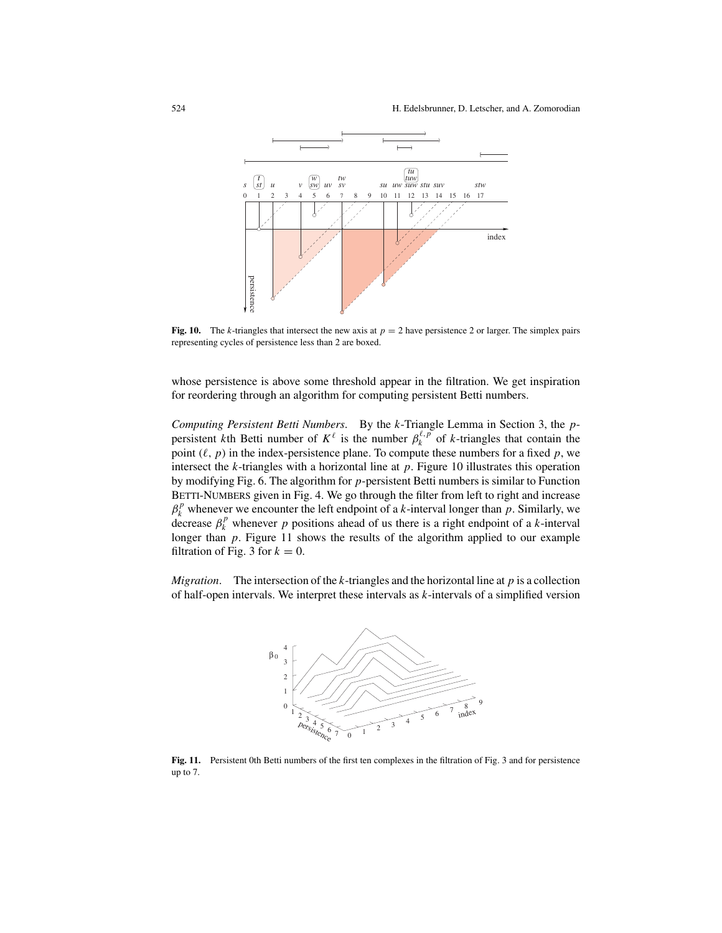

**Fig. 10.** The *k*-triangles that intersect the new axis at  $p = 2$  have persistence 2 or larger. The simplex pairs representing cycles of persistence less than 2 are boxed.

whose persistence is above some threshold appear in the filtration. We get inspiration for reordering through an algorithm for computing persistent Betti numbers.

*Computing Persistent Betti Numbers*. By the *k*-Triangle Lemma in Section 3, the *p*persistent *k*th Betti number of  $K^{\ell}$  is the number  $\beta_k^{\ell,p}$  of *k*-triangles that contain the point  $(\ell, p)$  in the index-persistence plane. To compute these numbers for a fixed  $p$ , we intersect the *k*-triangles with a horizontal line at *p*. Figure 10 illustrates this operation by modifying Fig. 6. The algorithm for *p*-persistent Betti numbers is similar to Function BETTI-NUMBERS given in Fig. 4. We go through the filter from left to right and increase  $\beta_k^p$  whenever we encounter the left endpoint of a *k*-interval longer than *p*. Similarly, we decrease  $\beta_k^p$  whenever *p* positions ahead of us there is a right endpoint of a *k*-interval longer than *p*. Figure 11 shows the results of the algorithm applied to our example filtration of Fig. 3 for  $k = 0$ .

*Migration.* The intersection of the *k*-triangles and the horizontal line at  $p$  is a collection of half-open intervals. We interpret these intervals as *k*-intervals of a simplified version



**Fig. 11.** Persistent 0th Betti numbers of the first ten complexes in the filtration of Fig. 3 and for persistence up to 7.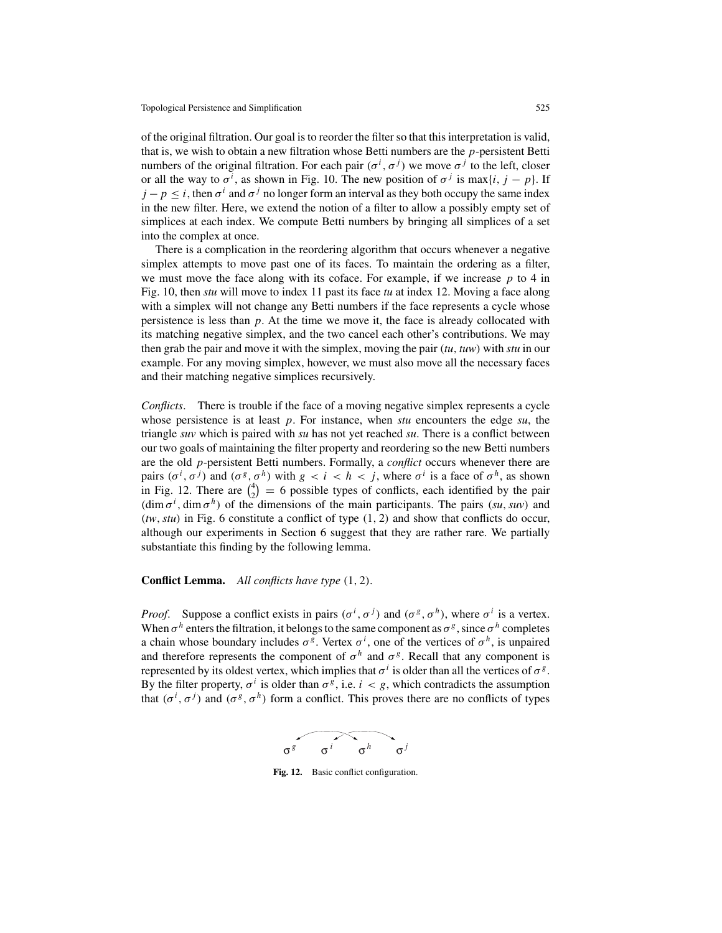of the original filtration. Our goal isto reorder the filterso that thisinterpretation is valid, that is, we wish to obtain a new filtration whose Betti numbers are the *p*-persistent Betti numbers of the original filtration. For each pair  $(\sigma^i, \sigma^j)$  we move  $\sigma^j$  to the left, closer or all the way to  $\sigma^i$ , as shown in Fig. 10. The new position of  $\sigma^j$  is max $\{i, j - p\}$ . If  $j - p \leq i$ , then  $\sigma^{i}$  and  $\sigma^{j}$  no longer form an interval as they both occupy the same index in the new filter. Here, we extend the notion of a filter to allow a possibly empty set of simplices at each index. We compute Betti numbers by bringing all simplices of a set into the complex at once.

There is a complication in the reordering algorithm that occurs whenever a negative simplex attempts to move past one of its faces. To maintain the ordering as a filter, we must move the face along with its coface. For example, if we increase *p* to 4 in Fig. 10, then *stu* will move to index 11 past its face *tu* at index 12. Moving a face along with a simplex will not change any Betti numbers if the face represents a cycle whose persistence is less than *p*. At the time we move it, the face is already collocated with its matching negative simplex, and the two cancel each other's contributions. We may then grab the pair and move it with the simplex, moving the pair (*tu*, *tuw*) with *stu* in our example. For any moving simplex, however, we must also move all the necessary faces and their matching negative simplices recursively.

*Conflicts*. There is trouble if the face of a moving negative simplex represents a cycle whose persistence is at least *p*. For instance, when *stu* encounters the edge *su*, the triangle *suv* which is paired with *su* has not yet reached *su*. There is a conflict between our two goals of maintaining the filter property and reordering so the new Betti numbers are the old *p*-persistent Betti numbers. Formally, a *conflict* occurs whenever there are pairs  $(\sigma^i, \sigma^j)$  and  $(\sigma^g, \sigma^h)$  with  $g < i < h < j$ , where  $\sigma^i$  is a face of  $\sigma^h$ , as shown in Fig. 12. There are  $\binom{4}{2}$  = 6 possible types of conflicts, each identified by the pair  $(\dim \sigma^i, \dim \sigma^h)$  of the dimensions of the main participants. The pairs  $(su, sw)$  and (*tw*,*stu*) in Fig. 6 constitute a conflict of type (1, 2) and show that conflicts do occur, although our experiments in Section 6 suggest that they are rather rare. We partially substantiate this finding by the following lemma.

#### **Conflict Lemma.** *All conflicts have type* (1, 2).

*Proof.* Suppose a conflict exists in pairs  $(\sigma^i, \sigma^j)$  and  $(\sigma^g, \sigma^h)$ , where  $\sigma^i$  is a vertex. When  $\sigma^h$  enters the filtration, it belongs to the same component as  $\sigma^g$ , since  $\sigma^h$  completes a chain whose boundary includes  $\sigma^g$ . Vertex  $\sigma^i$ , one of the vertices of  $\sigma^h$ , is unpaired and therefore represents the component of  $\sigma^h$  and  $\sigma^g$ . Recall that any component is represented by its oldest vertex, which implies that  $\sigma^i$  is older than all the vertices of  $\sigma^g$ . By the filter property,  $\sigma^{i}$  is older than  $\sigma^{g}$ , i.e.  $i < g$ , which contradicts the assumption that  $(\sigma^i, \sigma^j)$  and  $(\sigma^g, \sigma^h)$  form a conflict. This proves there are no conflicts of types



**Fig. 12.** Basic conflict configuration.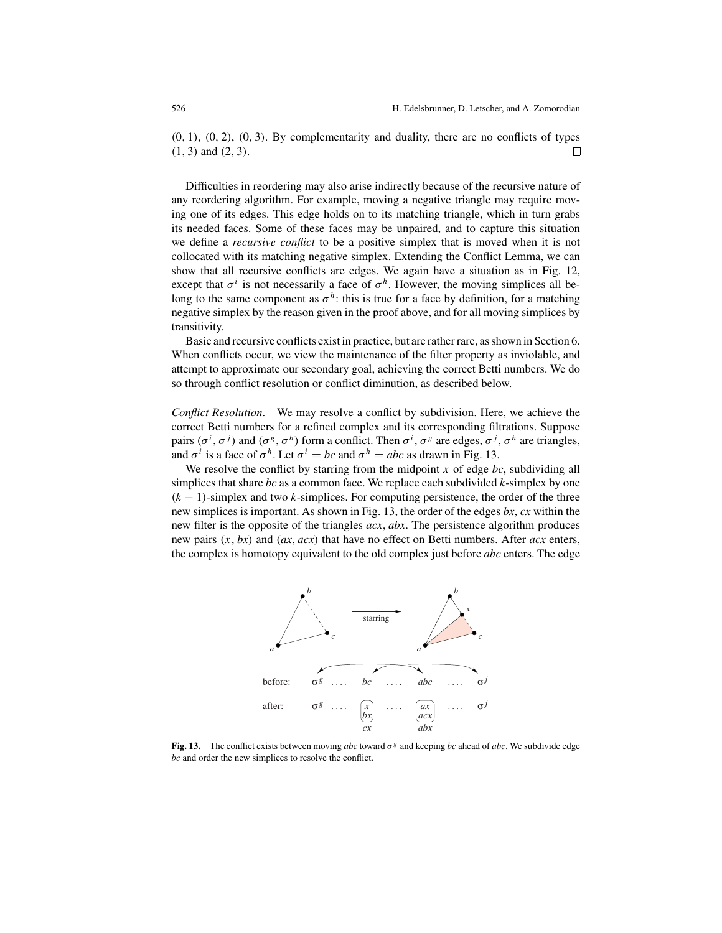$(0, 1)$ ,  $(0, 2)$ ,  $(0, 3)$ . By complementarity and duality, there are no conflicts of types (1, 3) and (2, 3). □

Difficulties in reordering may also arise indirectly because of the recursive nature of any reordering algorithm. For example, moving a negative triangle may require moving one of its edges. This edge holds on to its matching triangle, which in turn grabs its needed faces. Some of these faces may be unpaired, and to capture this situation we define a *recursive conflict* to be a positive simplex that is moved when it is not collocated with its matching negative simplex. Extending the Conflict Lemma, we can show that all recursive conflicts are edges. We again have a situation as in Fig. 12, except that  $\sigma^i$  is not necessarily a face of  $\sigma^h$ . However, the moving simplices all belong to the same component as  $\sigma^h$ : this is true for a face by definition, for a matching negative simplex by the reason given in the proof above, and for all moving simplices by transitivity.

Basic and recursive conflicts exist in practice, but are ratherrare, asshown in Section 6. When conflicts occur, we view the maintenance of the filter property as inviolable, and attempt to approximate our secondary goal, achieving the correct Betti numbers. We do so through conflict resolution or conflict diminution, as described below.

*Conflict Resolution*. We may resolve a conflict by subdivision. Here, we achieve the correct Betti numbers for a refined complex and its corresponding filtrations. Suppose pairs  $(\sigma^i, \sigma^j)$  and  $(\sigma^g, \sigma^h)$  form a conflict. Then  $\sigma^i, \sigma^g$  are edges,  $\sigma^j, \sigma^h$  are triangles, and  $\sigma^i$  is a face of  $\sigma^h$ . Let  $\sigma^i = bc$  and  $\sigma^h = abc$  as drawn in Fig. 13.

We resolve the conflict by starring from the midpoint *x* of edge *bc*, subdividing all simplices that share *bc* as a common face. We replace each subdivided *k*-simplex by one (*k* − 1)-simplex and two *k*-simplices. For computing persistence, the order of the three new simplices is important. As shown in Fig. 13, the order of the edges *bx*, *cx* within the new filter is the opposite of the triangles *acx*, *abx*. The persistence algorithm produces new pairs (*x*, *bx*) and (*ax*, *acx*) that have no effect on Betti numbers. After *acx* enters, the complex is homotopy equivalent to the old complex just before *abc* enters. The edge



**Fig. 13.** The conflict exists between moving *abc* toward  $\sigma^g$  and keeping *bc* ahead of *abc*. We subdivide edge *bc* and order the new simplices to resolve the conflict.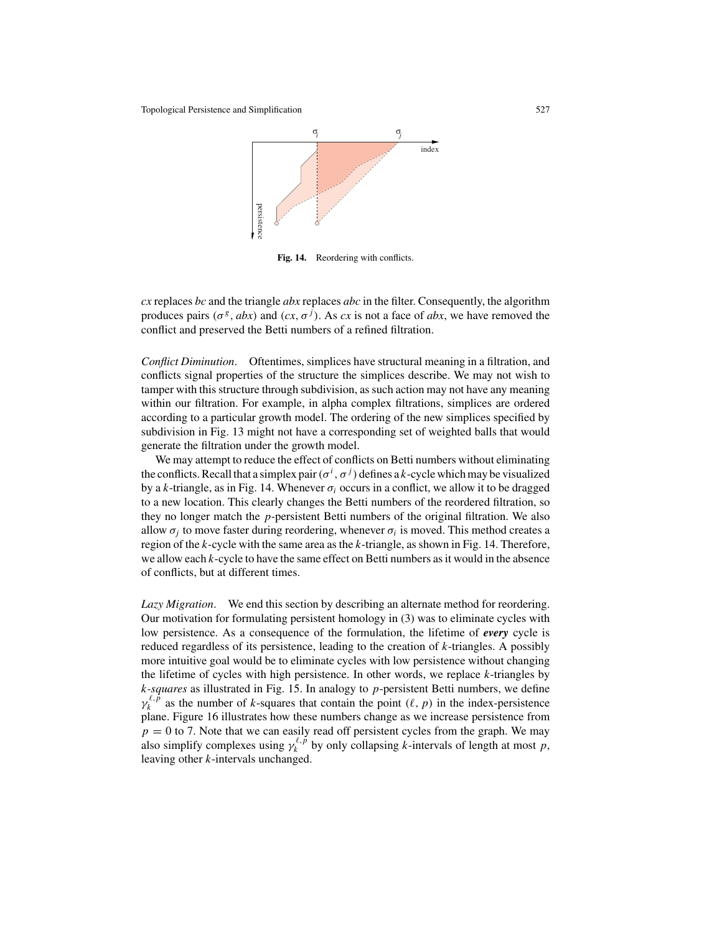Topological Persistence and Simplification 527



**Fig. 14.** Reordering with conflicts.

*cx* replaces *bc* and the triangle *abx* replaces *abc* in the filter. Consequently, the algorithm produces pairs ( $\sigma^g$ , *abx*) and (*cx*,  $\sigma^j$ ). As *cx* is not a face of *abx*, we have removed the conflict and preserved the Betti numbers of a refined filtration.

*Conflict Diminution*. Oftentimes, simplices have structural meaning in a filtration, and conflicts signal properties of the structure the simplices describe. We may not wish to tamper with this structure through subdivision, as such action may not have any meaning within our filtration. For example, in alpha complex filtrations, simplices are ordered according to a particular growth model. The ordering of the new simplices specified by subdivision in Fig. 13 might not have a corresponding set of weighted balls that would generate the filtration under the growth model.

We may attempt to reduce the effect of conflicts on Betti numbers without eliminating the conflicts. Recall that a simplex pair  $(\sigma^i, \sigma^j)$  defines a *k*-cycle which may be visualized by a *k*-triangle, as in Fig. 14. Whenever  $\sigma_i$  occurs in a conflict, we allow it to be dragged to a new location. This clearly changes the Betti numbers of the reordered filtration, so they no longer match the *p*-persistent Betti numbers of the original filtration. We also allow  $\sigma_i$  to move faster during reordering, whenever  $\sigma_i$  is moved. This method creates a region of the *k*-cycle with the same area as the *k*-triangle, as shown in Fig. 14. Therefore, we allow each *k*-cycle to have the same effect on Betti numbers as it would in the absence of conflicts, but at different times.

*Lazy Migration*. We end this section by describing an alternate method for reordering. Our motivation for formulating persistent homology in (3) was to eliminate cycles with low persistence. As a consequence of the formulation, the lifetime of *every* cycle is reduced regardless of its persistence, leading to the creation of *k*-triangles. A possibly more intuitive goal would be to eliminate cycles with low persistence without changing the lifetime of cycles with high persistence. In other words, we replace *k*-triangles by *k-squares* as illustrated in Fig. 15. In analogy to *p*-persistent Betti numbers, we define  $\gamma_k^{\ell, \tilde{p}}$  as the number of *k*-squares that contain the point  $(\ell, p)$  in the index-persistence plane. Figure 16 illustrates how these numbers change as we increase persistence from  $p = 0$  to 7. Note that we can easily read off persistent cycles from the graph. We may also simplify complexes using  $\gamma_k^{\ell, p}$  by only collapsing *k*-intervals of length at most *p*, leaving other *k*-intervals unchanged.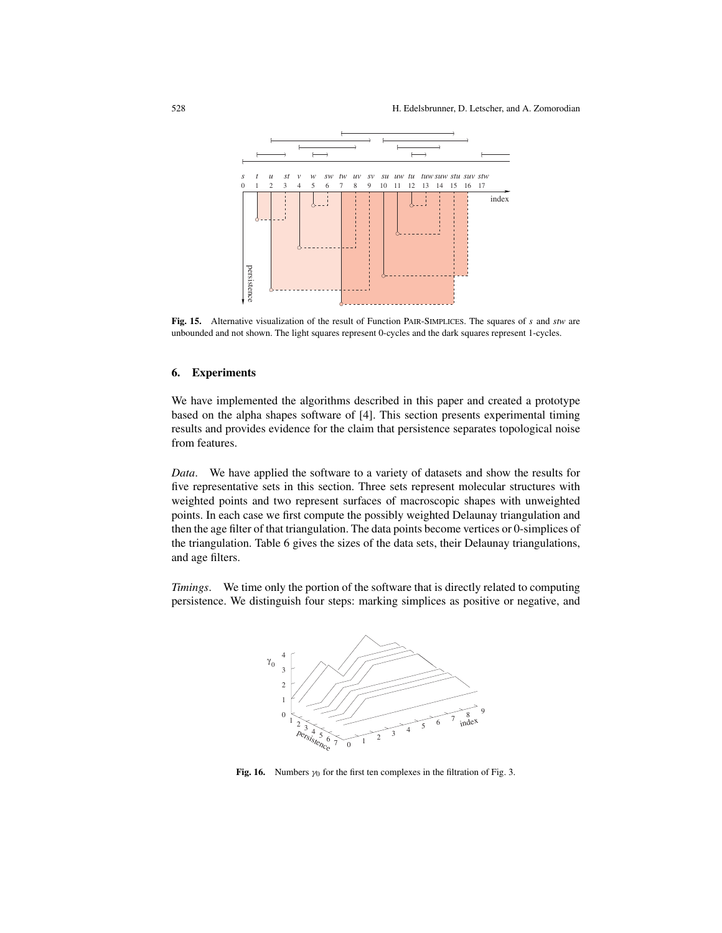

**Fig. 15.** Alternative visualization of the result of Function PAIR-SIMPLICES. The squares of *s* and *stw* are unbounded and not shown. The light squares represent 0-cycles and the dark squares represent 1-cycles.

# **6. Experiments**

We have implemented the algorithms described in this paper and created a prototype based on the alpha shapes software of [4]. This section presents experimental timing results and provides evidence for the claim that persistence separates topological noise from features.

*Data*. We have applied the software to a variety of datasets and show the results for five representative sets in this section. Three sets represent molecular structures with weighted points and two represent surfaces of macroscopic shapes with unweighted points. In each case we first compute the possibly weighted Delaunay triangulation and then the age filter of that triangulation. The data points become vertices or 0-simplices of the triangulation. Table 6 gives the sizes of the data sets, their Delaunay triangulations, and age filters.

*Timings*. We time only the portion of the software that is directly related to computing persistence. We distinguish four steps: marking simplices as positive or negative, and



**Fig. 16.** Numbers  $\gamma_0$  for the first ten complexes in the filtration of Fig. 3.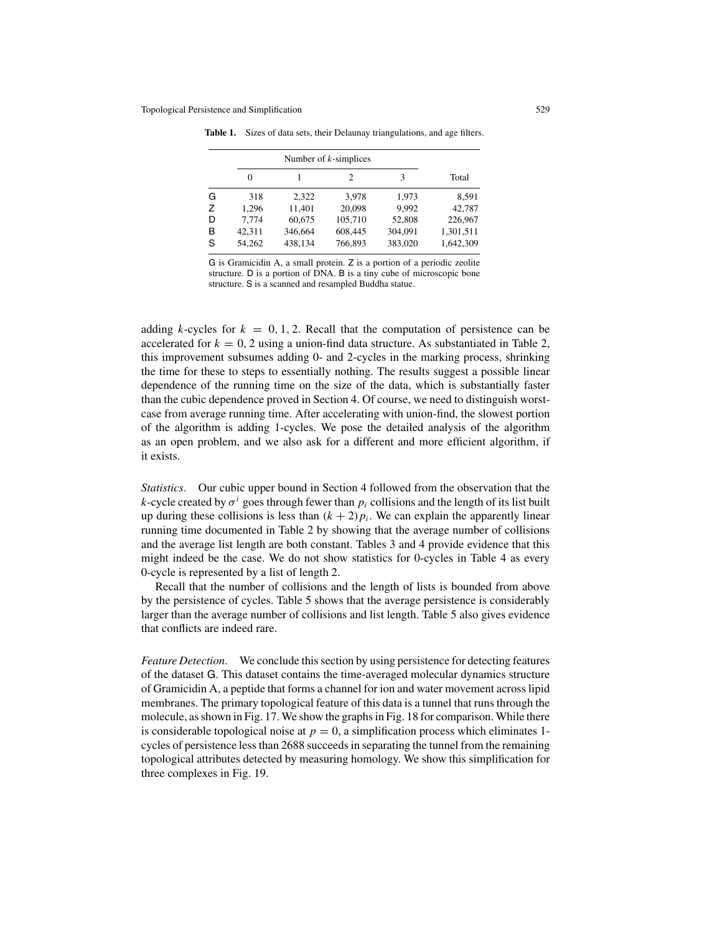|   | $\Omega$ |         | 2       | 3       | Total     |
|---|----------|---------|---------|---------|-----------|
| G | 318      | 2,322   | 3,978   | 1,973   | 8,591     |
| Z | 1.296    | 11.401  | 20,098  | 9.992   | 42.787    |
| D | 7.774    | 60,675  | 105,710 | 52,808  | 226,967   |
| B | 42.311   | 346,664 | 608,445 | 304,091 | 1,301,511 |
| S | 54,262   | 438,134 | 766,893 | 383,020 | 1,642,309 |
|   |          |         |         |         |           |

**Table 1.** Sizes of data sets, their Delaunay triangulations, and age filters.

G is Gramicidin A, a small protein. Z is a portion of a periodic zeolite structure. D is a portion of DNA. B is a tiny cube of microscopic bone structure. S is a scanned and resampled Buddha statue.

adding *k*-cycles for  $k = 0, 1, 2$ . Recall that the computation of persistence can be accelerated for  $k = 0, 2$  using a union-find data structure. As substantiated in Table 2, this improvement subsumes adding 0- and 2-cycles in the marking process, shrinking the time for these to steps to essentially nothing. The results suggest a possible linear dependence of the running time on the size of the data, which is substantially faster than the cubic dependence proved in Section 4. Of course, we need to distinguish worstcase from average running time. After accelerating with union-find, the slowest portion of the algorithm is adding 1-cycles. We pose the detailed analysis of the algorithm as an open problem, and we also ask for a different and more efficient algorithm, if it exists.

*Statistics*. Our cubic upper bound in Section 4 followed from the observation that the *k*-cycle created by  $\sigma^{i}$  goes through fewer than  $p_{i}$  collisions and the length of its list built up during these collisions is less than  $(k + 2)p_i$ . We can explain the apparently linear running time documented in Table 2 by showing that the average number of collisions and the average list length are both constant. Tables 3 and 4 provide evidence that this might indeed be the case. We do not show statistics for 0-cycles in Table 4 as every 0-cycle is represented by a list of length 2.

Recall that the number of collisions and the length of lists is bounded from above by the persistence of cycles. Table 5 shows that the average persistence is considerably larger than the average number of collisions and list length. Table 5 also gives evidence that conflicts are indeed rare.

*Feature Detection.* We conclude this section by using persistence for detecting features of the dataset G. This dataset contains the time-averaged molecular dynamics structure of Gramicidin A, a peptide that forms a channel for ion and water movement across lipid membranes. The primary topological feature of this data is a tunnel that runs through the molecule, asshown in Fig. 17. We show the graphsin Fig. 18 for comparison. While there is considerable topological noise at  $p = 0$ , a simplification process which eliminates 1cycles of persistence less than 2688 succeeds in separating the tunnel from the remaining topological attributes detected by measuring homology. We show this simplification for three complexes in Fig. 19.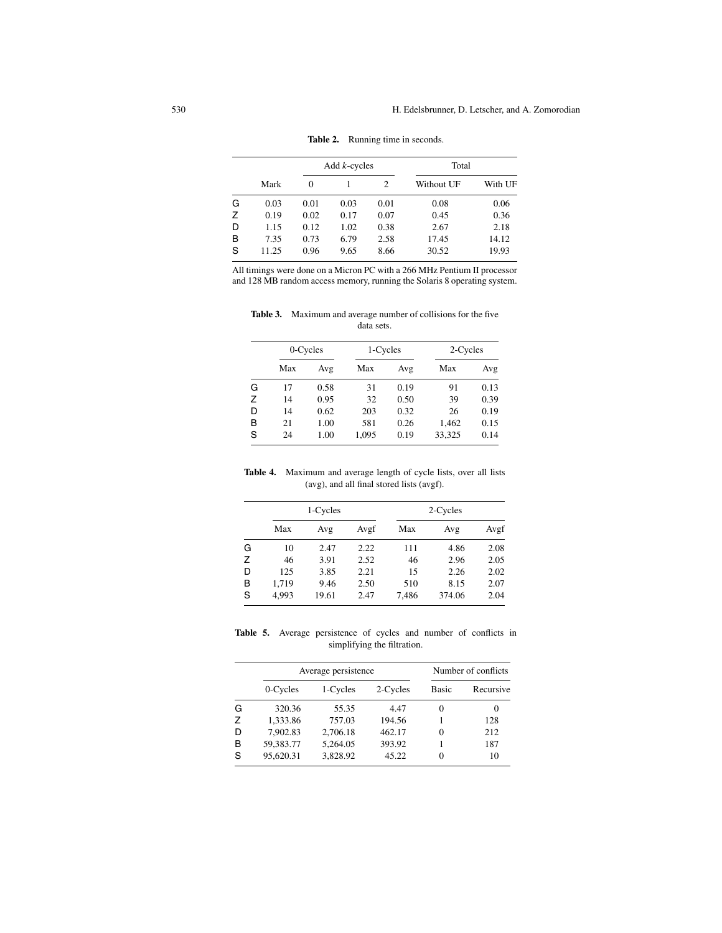|   |       | Add $k$ -cycles |      |      | Total      |         |  |
|---|-------|-----------------|------|------|------------|---------|--|
|   | Mark  | 0               |      | 2    | Without UF | With UF |  |
| G | 0.03  | 0.01            | 0.03 | 0.01 | 0.08       | 0.06    |  |
| Z | 0.19  | 0.02            | 0.17 | 0.07 | 0.45       | 0.36    |  |
| D | 1.15  | 0.12            | 1.02 | 0.38 | 2.67       | 2.18    |  |
| в | 7.35  | 0.73            | 6.79 | 2.58 | 17.45      | 14.12   |  |
| S | 11.25 | 0.96            | 9.65 | 8.66 | 30.52      | 19.93   |  |

**Table 2.** Running time in seconds.

All timings were done on a Micron PC with a 266 MHz Pentium II processor and 128 MB random access memory, running the Solaris 8 operating system.

**Table 3.** Maximum and average number of collisions for the five data sets.

|   | 0-Cycles |      | 1-Cycles |      | 2-Cycles |      |
|---|----------|------|----------|------|----------|------|
|   | Max      | Avg  | Max      | Avg  | Max      | Avg  |
| G | 17       | 0.58 | 31       | 0.19 | 91       | 0.13 |
| Z | 14       | 0.95 | 32       | 0.50 | 39       | 0.39 |
| D | 14       | 0.62 | 203      | 0.32 | 26       | 0.19 |
| B | 21       | 1.00 | 581      | 0.26 | 1,462    | 0.15 |
| S | 24       | 1.00 | 1,095    | 0.19 | 33,325   | 0.14 |

**Table 4.** Maximum and average length of cycle lists, over all lists (avg), and all final stored lists (avgf).

|   | 1-Cycles |       |      | 2-Cycles |        |      |
|---|----------|-------|------|----------|--------|------|
|   | Max      | Avg   | Avgf | Max      | Avg    | Avgf |
| G | 10       | 2.47  | 2.22 | 111      | 4.86   | 2.08 |
| Z | 46       | 3.91  | 2.52 | 46       | 2.96   | 2.05 |
| D | 125      | 3.85  | 2.21 | 15       | 2.26   | 2.02 |
| B | 1.719    | 9.46  | 2.50 | 510      | 8.15   | 2.07 |
| S | 4.993    | 19.61 | 2.47 | 7,486    | 374.06 | 2.04 |

**Table 5.** Average persistence of cycles and number of conflicts in simplifying the filtration.

|   |           | Average persistence | Number of conflicts |              |           |
|---|-----------|---------------------|---------------------|--------------|-----------|
|   | 0-Cycles  | 1-Cycles            | 2-Cycles            | <b>Basic</b> | Recursive |
| G | 320.36    | 55.35               | 4.47                | $\Omega$     |           |
| 7 | 1.333.86  | 757.03              | 194.56              |              | 128       |
| D | 7,902.83  | 2,706.18            | 462.17              | $\theta$     | 212       |
| в | 59,383.77 | 5,264.05            | 393.92              |              | 187       |
| S | 95.620.31 | 3,828.92            | 45.22               | 0            | 10        |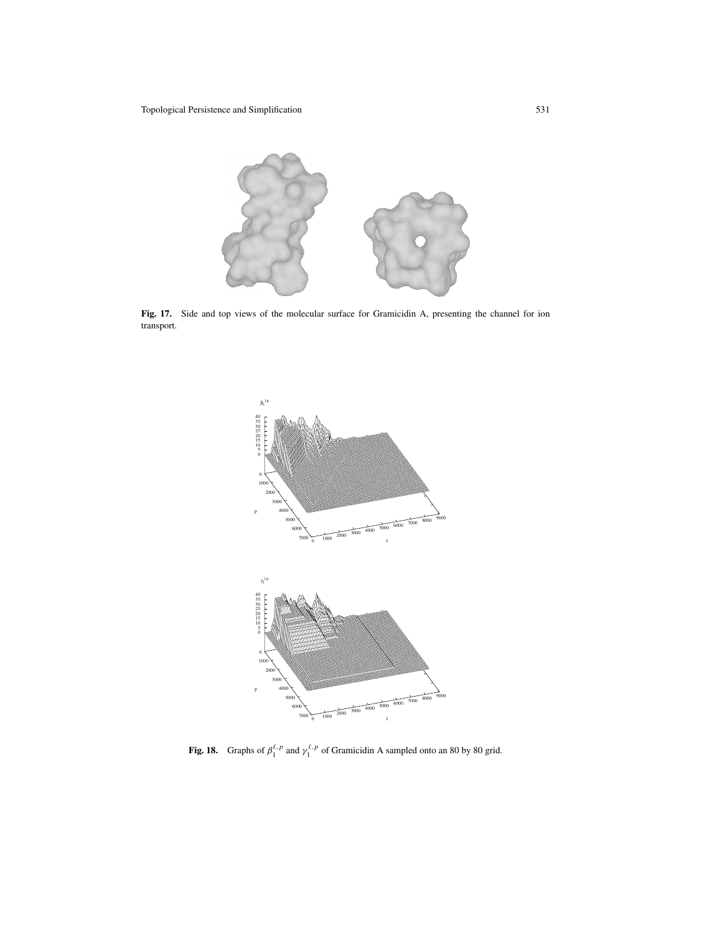

**Fig. 17.** Side and top views of the molecular surface for Gramicidin A, presenting the channel for ion transport.



**Fig. 18.** Graphs of  $\beta_1^{\ell,p}$  and  $\gamma_1^{\ell,p}$  of Gramicidin A sampled onto an 80 by 80 grid.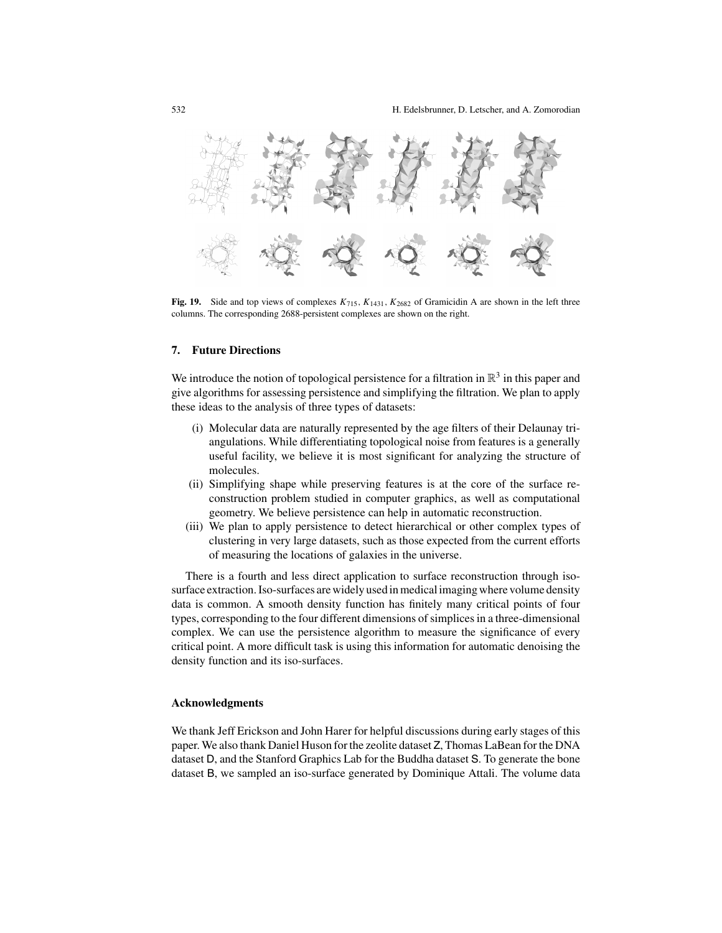

**Fig. 19.** Side and top views of complexes  $K_{715}$ ,  $K_{1431}$ ,  $K_{2682}$  of Gramicidin A are shown in the left three columns. The corresponding 2688-persistent complexes are shown on the right.

# **7. Future Directions**

We introduce the notion of topological persistence for a filtration in  $\mathbb{R}^3$  in this paper and give algorithms for assessing persistence and simplifying the filtration. We plan to apply these ideas to the analysis of three types of datasets:

- (i) Molecular data are naturally represented by the age filters of their Delaunay triangulations. While differentiating topological noise from features is a generally useful facility, we believe it is most significant for analyzing the structure of molecules.
- (ii) Simplifying shape while preserving features is at the core of the surface reconstruction problem studied in computer graphics, as well as computational geometry. We believe persistence can help in automatic reconstruction.
- (iii) We plan to apply persistence to detect hierarchical or other complex types of clustering in very large datasets, such as those expected from the current efforts of measuring the locations of galaxies in the universe.

There is a fourth and less direct application to surface reconstruction through isosurface extraction. Iso-surfaces are widely used in medical imaging where volume density data is common. A smooth density function has finitely many critical points of four types, corresponding to the four different dimensions of simplices in a three-dimensional complex. We can use the persistence algorithm to measure the significance of every critical point. A more difficult task is using this information for automatic denoising the density function and its iso-surfaces.

# **Acknowledgments**

We thank Jeff Erickson and John Harer for helpful discussions during early stages of this paper. We also thank Daniel Huson forthe zeolite dataset Z, Thomas LaBean forthe DNA dataset D, and the Stanford Graphics Lab for the Buddha dataset S. To generate the bone dataset B, we sampled an iso-surface generated by Dominique Attali. The volume data